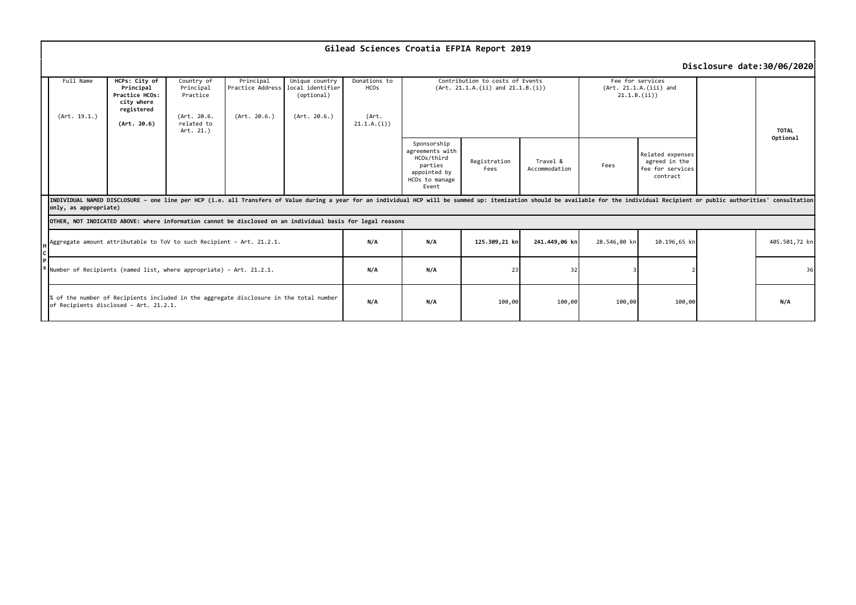|                                                                                                                                  | Gilead Sciences Croatia EFPIA Report 2019                                                                                                                                                                                                               |                                                                                         |                                                                               |                                               |                                                                  |                                                                |                                                                                                    |                      |                           |              |                                                                   |               |              |
|----------------------------------------------------------------------------------------------------------------------------------|---------------------------------------------------------------------------------------------------------------------------------------------------------------------------------------------------------------------------------------------------------|-----------------------------------------------------------------------------------------|-------------------------------------------------------------------------------|-----------------------------------------------|------------------------------------------------------------------|----------------------------------------------------------------|----------------------------------------------------------------------------------------------------|----------------------|---------------------------|--------------|-------------------------------------------------------------------|---------------|--------------|
|                                                                                                                                  | Disclosure date:30/06/2020                                                                                                                                                                                                                              |                                                                                         |                                                                               |                                               |                                                                  |                                                                |                                                                                                    |                      |                           |              |                                                                   |               |              |
|                                                                                                                                  | Full Name<br>(Art. 19.1.)                                                                                                                                                                                                                               | HCPs: City of<br>Principal<br>Practice HCOs:<br>city where<br>registered<br>(Art. 20.6) | Country of<br>Principal<br>Practice<br>(Art. 20.6.<br>related to<br>Art. 21.) | Principal<br>Practice Address<br>(Art. 20.6.) | Unique country<br>local identifier<br>(optional)<br>(Art. 20.6.) | Donations to<br><b>HCO<sub>S</sub></b><br>(Art.<br>21.1.A.(i)) | Contribution to costs of Events<br>(Art. 21.1.A.(ii) and 21.1.B.(i))                               |                      |                           |              | Fee for services<br>(Art. 21.1.A.(iii) and<br>21.1.B.(ii))        |               | <b>TOTAL</b> |
|                                                                                                                                  |                                                                                                                                                                                                                                                         |                                                                                         |                                                                               |                                               |                                                                  |                                                                | Sponsorship<br>agreements with<br>HCOs/third<br>parties<br>appointed by<br>HCOs to manage<br>Event | Registration<br>Fees | Travel &<br>Accommodation | Fees         | Related expenses<br>agreed in the<br>fee for services<br>contract |               | Optional     |
|                                                                                                                                  | INDIVIDUAL NAMED DISCLOSURE - one line per HCP (i.e. all Transfers of Value during a year for an individual HCP will be summed up: itemization should be available for the individual Recipient or public authorities' consult<br>only, as appropriate) |                                                                                         |                                                                               |                                               |                                                                  |                                                                |                                                                                                    |                      |                           |              |                                                                   |               |              |
| OTHER, NOT INDICATED ABOVE: where information cannot be disclosed on an individual basis for legal reasons                       |                                                                                                                                                                                                                                                         |                                                                                         |                                                                               |                                               |                                                                  |                                                                |                                                                                                    |                      |                           |              |                                                                   |               |              |
|                                                                                                                                  | Aggregate amount attributable to ToV to such Recipient - Art. 21.2.1.                                                                                                                                                                                   |                                                                                         |                                                                               |                                               | N/A                                                              | N/A                                                            | 125.309,21 kn                                                                                      | 241.449,06 kn        | 28.546,80 kn              | 10.196,65 kn |                                                                   | 405.501,72 kn |              |
|                                                                                                                                  | Number of Recipients (named list, where appropriate) - Art. 21.2.1.                                                                                                                                                                                     |                                                                                         |                                                                               |                                               |                                                                  | N/A                                                            | N/A                                                                                                | 23                   | 32                        |              |                                                                   |               | 36           |
| % of the number of Recipients included in the aggregate disclosure in the total number<br>of Recipients disclosed - Art. 21.2.1. |                                                                                                                                                                                                                                                         |                                                                                         |                                                                               | N/A                                           | N/A                                                              | 100,00                                                         | 100,00                                                                                             | 100,00               | 100,00                    |              | N/A                                                               |               |              |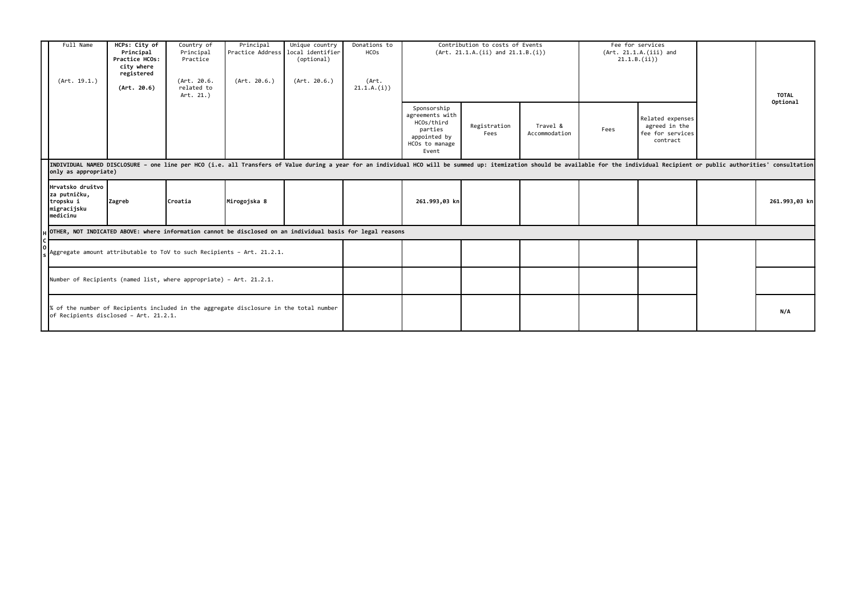|                                                                                                                                  | Full Name<br>(Art. 19.1.)                                                                                                                                                                                                                              | HCPs: City of<br>Principal<br>Practice HCOs:<br>city where<br>registered<br>(Art. 20.6) | Country of<br>Principal<br>Practice<br>(Art. 20.6.<br>related to<br>Art. 21.) | Principal<br>Practice Address local identifier<br>(Art. 20.6.) | Unique country<br>(optional)<br>(Art. 20.6.) | Donations to<br><b>HCO<sub>S</sub></b><br>(Art.<br>21.1.A.(i)) |                                                                                                    | Fee for services<br>Contribution to costs of Events<br>(Art. 21.1.A.(ii) and 21.1.B.(i))<br>(Art. 21.1.A.(iii) and<br>21.1.B.(ii)) |                           |      |                                                                   | <b>TOTAL</b><br>Optional |               |
|----------------------------------------------------------------------------------------------------------------------------------|--------------------------------------------------------------------------------------------------------------------------------------------------------------------------------------------------------------------------------------------------------|-----------------------------------------------------------------------------------------|-------------------------------------------------------------------------------|----------------------------------------------------------------|----------------------------------------------|----------------------------------------------------------------|----------------------------------------------------------------------------------------------------|------------------------------------------------------------------------------------------------------------------------------------|---------------------------|------|-------------------------------------------------------------------|--------------------------|---------------|
|                                                                                                                                  |                                                                                                                                                                                                                                                        |                                                                                         |                                                                               |                                                                |                                              |                                                                | Sponsorship<br>agreements with<br>HCOs/third<br>parties<br>appointed by<br>HCOs to manage<br>Event | Registration<br>Fees                                                                                                               | Travel &<br>Accommodation | Fees | Related expenses<br>agreed in the<br>fee for services<br>contract |                          |               |
|                                                                                                                                  | INDIVIDUAL NAMED DISCLOSURE - one line per HCO (i.e. all Transfers of Value during a year for an individual HCO will be summed up: itemization should be available for the individual Recipient or public authorities' consult<br>only as appropriate) |                                                                                         |                                                                               |                                                                |                                              |                                                                |                                                                                                    |                                                                                                                                    |                           |      |                                                                   |                          |               |
|                                                                                                                                  | Hrvatsko društvo<br>za putničku,<br>tropsku i<br>migracijsku<br>medicinu                                                                                                                                                                               | Zagreb                                                                                  | Croatia                                                                       | Mirogojska 8                                                   |                                              |                                                                | 261.993,03 kn                                                                                      |                                                                                                                                    |                           |      |                                                                   |                          | 261.993,03 kn |
|                                                                                                                                  | OTHER, NOT INDICATED ABOVE: where information cannot be disclosed on an individual basis for legal reasons                                                                                                                                             |                                                                                         |                                                                               |                                                                |                                              |                                                                |                                                                                                    |                                                                                                                                    |                           |      |                                                                   |                          |               |
|                                                                                                                                  | Aggregate amount attributable to ToV to such Recipients - Art. 21.2.1.                                                                                                                                                                                 |                                                                                         |                                                                               |                                                                |                                              |                                                                |                                                                                                    |                                                                                                                                    |                           |      |                                                                   |                          |               |
|                                                                                                                                  | Number of Recipients (named list, where appropriate) - Art. 21.2.1.                                                                                                                                                                                    |                                                                                         |                                                                               |                                                                |                                              |                                                                |                                                                                                    |                                                                                                                                    |                           |      |                                                                   |                          |               |
| % of the number of Recipients included in the aggregate disclosure in the total number<br>of Recipients disclosed - Art. 21.2.1. |                                                                                                                                                                                                                                                        |                                                                                         |                                                                               |                                                                |                                              |                                                                |                                                                                                    |                                                                                                                                    |                           |      | N/A                                                               |                          |               |